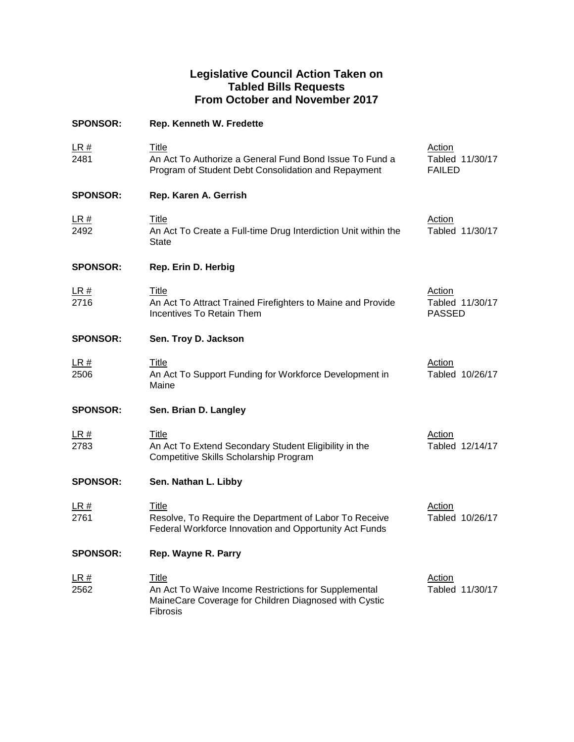## **Legislative Council Action Taken on Tabled Bills Requests From October and November 2017**

| <b>SPONSOR:</b>     | Rep. Kenneth W. Fredette                                                                                                                         |                                            |
|---------------------|--------------------------------------------------------------------------------------------------------------------------------------------------|--------------------------------------------|
| LR#<br>2481         | <b>Title</b><br>An Act To Authorize a General Fund Bond Issue To Fund a<br>Program of Student Debt Consolidation and Repayment                   | Action<br>Tabled 11/30/17<br><b>FAILED</b> |
| <b>SPONSOR:</b>     | Rep. Karen A. Gerrish                                                                                                                            |                                            |
| <u>LR #</u><br>2492 | <b>Title</b><br>An Act To Create a Full-time Drug Interdiction Unit within the<br><b>State</b>                                                   | <b>Action</b><br>Tabled 11/30/17           |
| <b>SPONSOR:</b>     | Rep. Erin D. Herbig                                                                                                                              |                                            |
| LR#<br>2716         | <u>Title</u><br>An Act To Attract Trained Firefighters to Maine and Provide<br>Incentives To Retain Them                                         | Action<br>Tabled 11/30/17<br><b>PASSED</b> |
| <b>SPONSOR:</b>     | Sen. Troy D. Jackson                                                                                                                             |                                            |
| <u>LR #</u><br>2506 | <u>Title</u><br>An Act To Support Funding for Workforce Development in<br>Maine                                                                  | <b>Action</b><br>Tabled 10/26/17           |
| <b>SPONSOR:</b>     | Sen. Brian D. Langley                                                                                                                            |                                            |
| LR#<br>2783         | Title<br>An Act To Extend Secondary Student Eligibility in the<br>Competitive Skills Scholarship Program                                         | Action<br>Tabled 12/14/17                  |
| <b>SPONSOR:</b>     | Sen. Nathan L. Libby                                                                                                                             |                                            |
| <u>LR #</u><br>2761 | <b>Title</b><br>Resolve, To Require the Department of Labor To Receive<br>Federal Workforce Innovation and Opportunity Act Funds                 | <b>Action</b><br>Tabled 10/26/17           |
| <b>SPONSOR:</b>     | Rep. Wayne R. Parry                                                                                                                              |                                            |
| <u>LR #</u><br>2562 | <b>Title</b><br>An Act To Waive Income Restrictions for Supplemental<br>MaineCare Coverage for Children Diagnosed with Cystic<br><b>Fibrosis</b> | Action<br>Tabled 11/30/17                  |